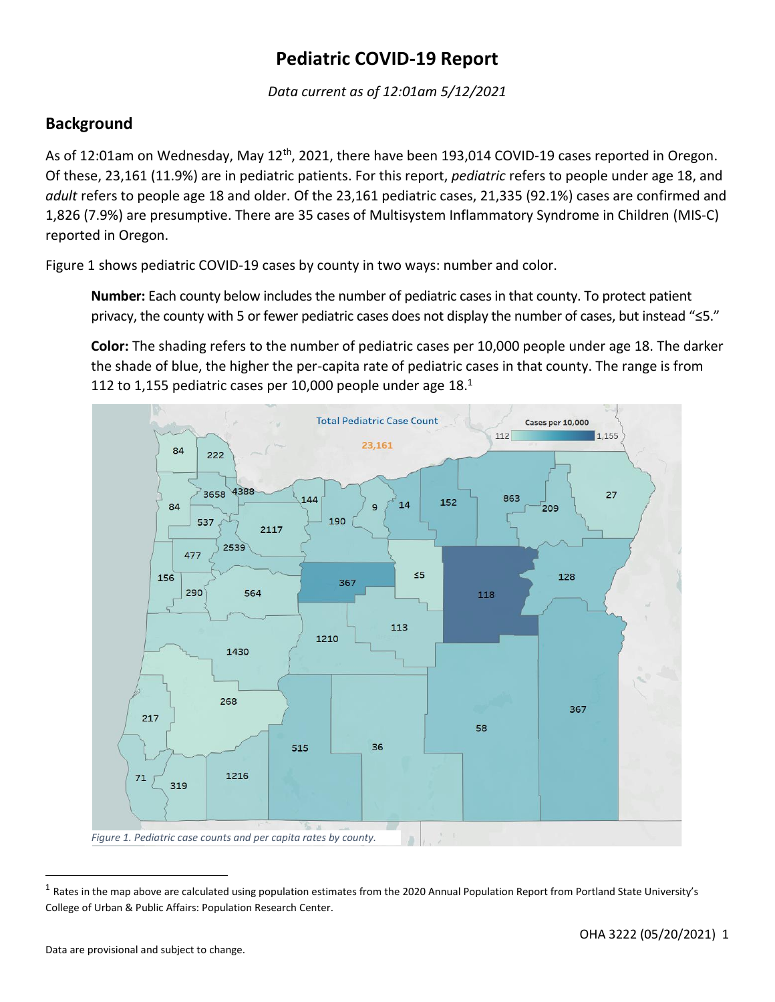# **Pediatric COVID-19 Report**

*Data current as of 12:01am 5/12/2021*

# **Background**

As of 12:01am on Wednesday, May 12<sup>th</sup>, 2021, there have been 193,014 COVID-19 cases reported in Oregon. Of these, 23,161 (11.9%) are in pediatric patients. For this report, *pediatric* refers to people under age 18, and *adult* refers to people age 18 and older. Of the 23,161 pediatric cases, 21,335 (92.1%) cases are confirmed and 1,826 (7.9%) are presumptive. There are 35 cases of Multisystem Inflammatory Syndrome in Children (MIS-C) reported in Oregon.

Figure 1 shows pediatric COVID-19 cases by county in two ways: number and color.

**Number:** Each county below includes the number of pediatric cases in that county. To protect patient privacy, the county with 5 or fewer pediatric cases does not display the number of cases, but instead "≤5."

**Color:** The shading refers to the number of pediatric cases per 10,000 people under age 18. The darker the shade of blue, the higher the per-capita rate of pediatric cases in that county. The range is from 112 to 1,155 pediatric cases per 10,000 people under age 18.<sup>1</sup>



<sup>&</sup>lt;sup>1</sup> Rates in the map above are calculated using population estimates from the 2020 Annual Population Report from Portland State University's College of Urban & Public Affairs: Population Research Center.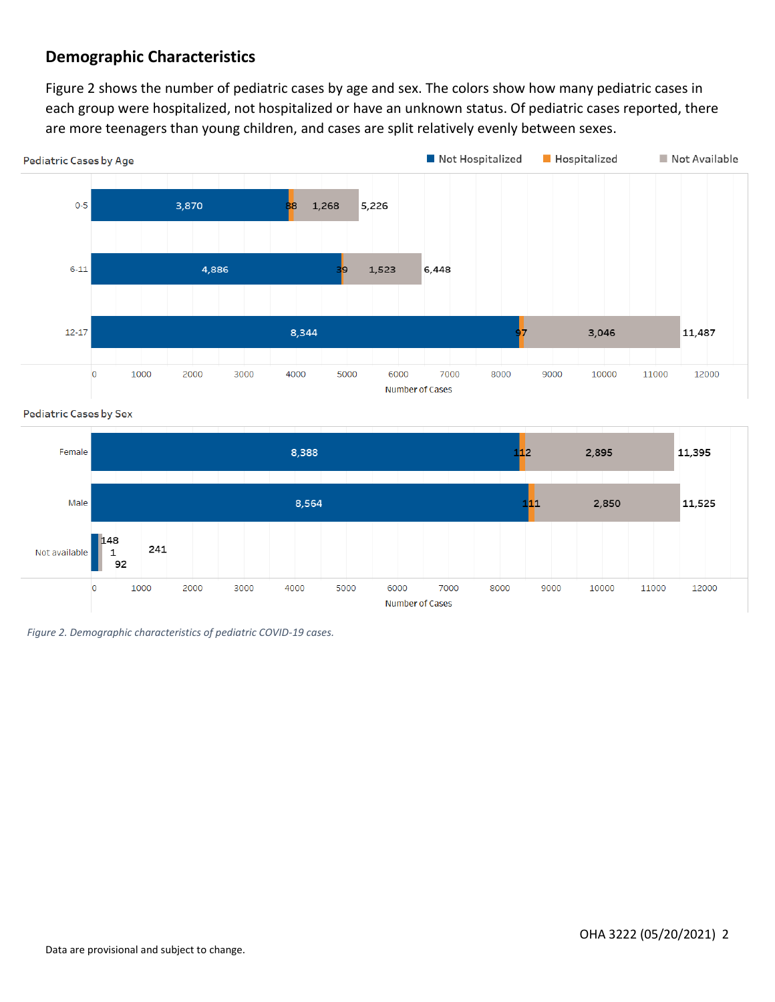# **Demographic Characteristics**

Figure 2 shows the number of pediatric cases by age and sex. The colors show how many pediatric cases in each group were hospitalized, not hospitalized or have an unknown status. Of pediatric cases reported, there are more teenagers than young children, and cases are split relatively evenly between sexes.



**Pediatric Cases by Sex** 



*Figure 2. Demographic characteristics of pediatric COVID-19 cases.*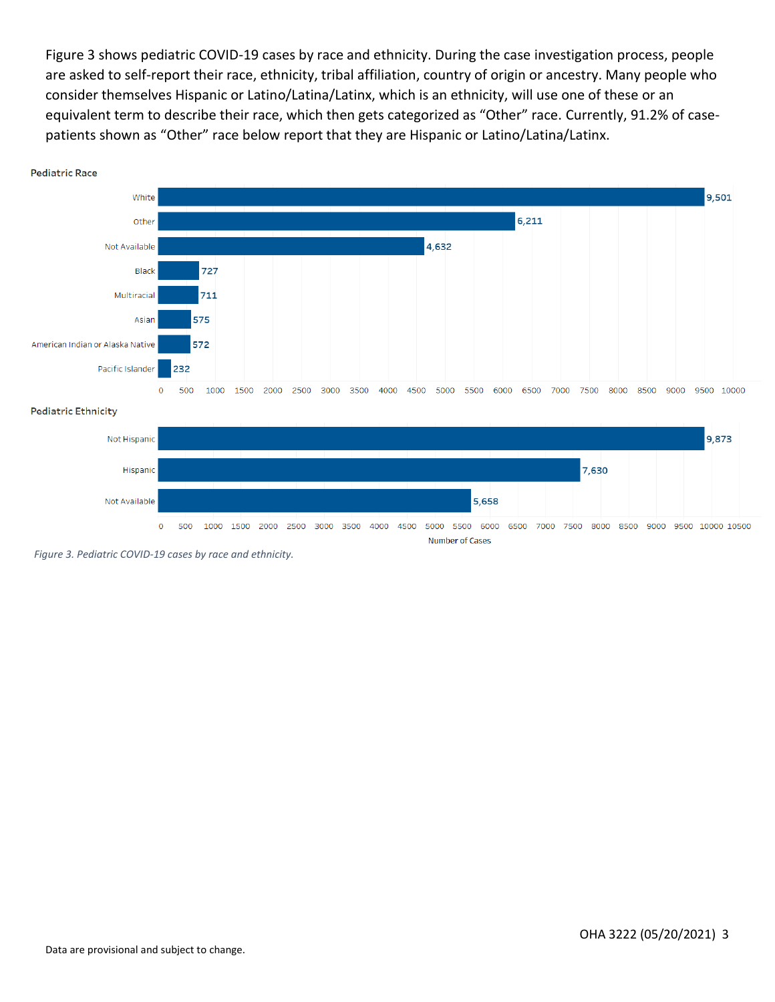Figure 3 shows pediatric COVID-19 cases by race and ethnicity. During the case investigation process, people are asked to self-report their race, ethnicity, tribal affiliation, country of origin or ancestry. Many people who consider themselves Hispanic or Latino/Latina/Latinx, which is an ethnicity, will use one of these or an equivalent term to describe their race, which then gets categorized as "Other" race. Currently, 91.2% of casepatients shown as "Other" race below report that they are Hispanic or Latino/Latina/Latinx.



#### **Pediatric Ethnicity**



*Figure 3. Pediatric COVID-19 cases by race and ethnicity.*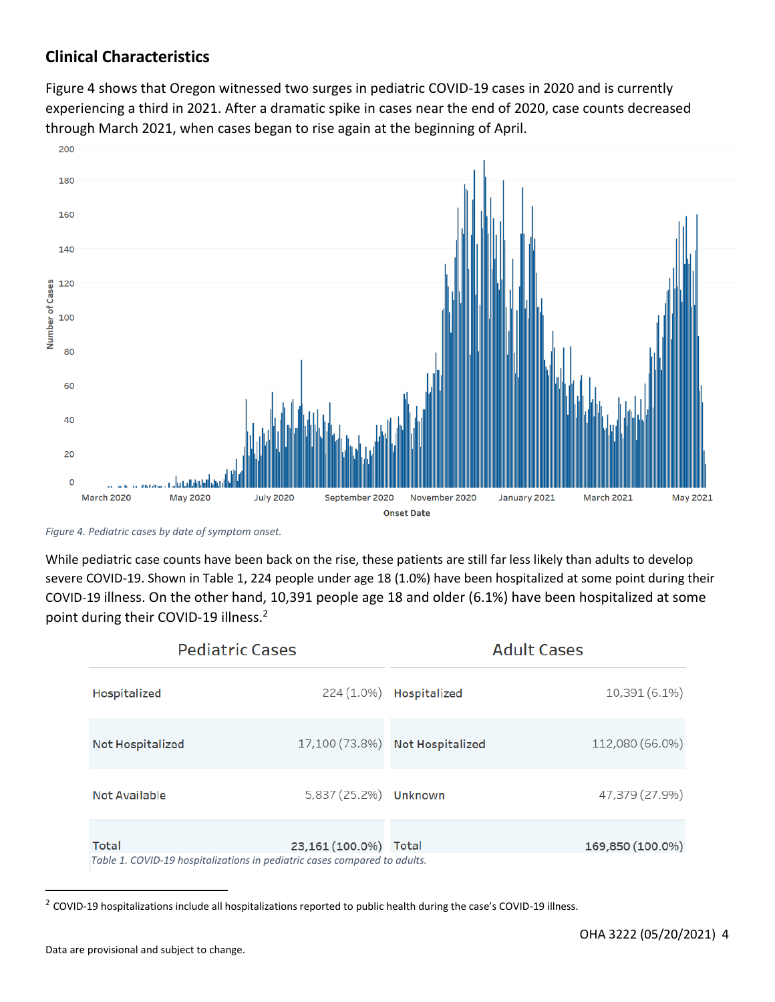# **Clinical Characteristics**

Figure 4 shows that Oregon witnessed two surges in pediatric COVID-19 cases in 2020 and is currently experiencing a third in 2021. After a dramatic spike in cases near the end of 2020, case counts decreased through March 2021, when cases began to rise again at the beginning of April.



*Figure 4. Pediatric cases by date of symptom onset.*

While pediatric case counts have been back on the rise, these patients are still far less likely than adults to develop severe COVID-19. Shown in Table 1, 224 people under age 18 (1.0%) have been hospitalized at some point during their COVID-19 illness. On the other hand, 10,391 people age 18 and older (6.1%) have been hospitalized at some point during their COVID-19 illness.<sup>2</sup>

| <b>Pediatric Cases</b>  |                                                                                              | <b>Adult Cases</b>              |                  |
|-------------------------|----------------------------------------------------------------------------------------------|---------------------------------|------------------|
| Hospitalized            |                                                                                              | 224 (1.0%) Hospitalized         | 10,391 (6.1%)    |
| <b>Not Hospitalized</b> |                                                                                              | 17,100 (73.8%) Not Hospitalized | 112,080 (66.0%)  |
| Not Available           | 5,837 (25.2%) Unknown                                                                        |                                 | 47,379 (27.9%)   |
| Total                   | 23,161 (100.0%)<br>Table 1. COVID-19 hospitalizations in pediatric cases compared to adults. | Total                           | 169,850 (100.0%) |

 $^2$  COVID-19 hospitalizations include all hospitalizations reported to public health during the case's COVID-19 illness.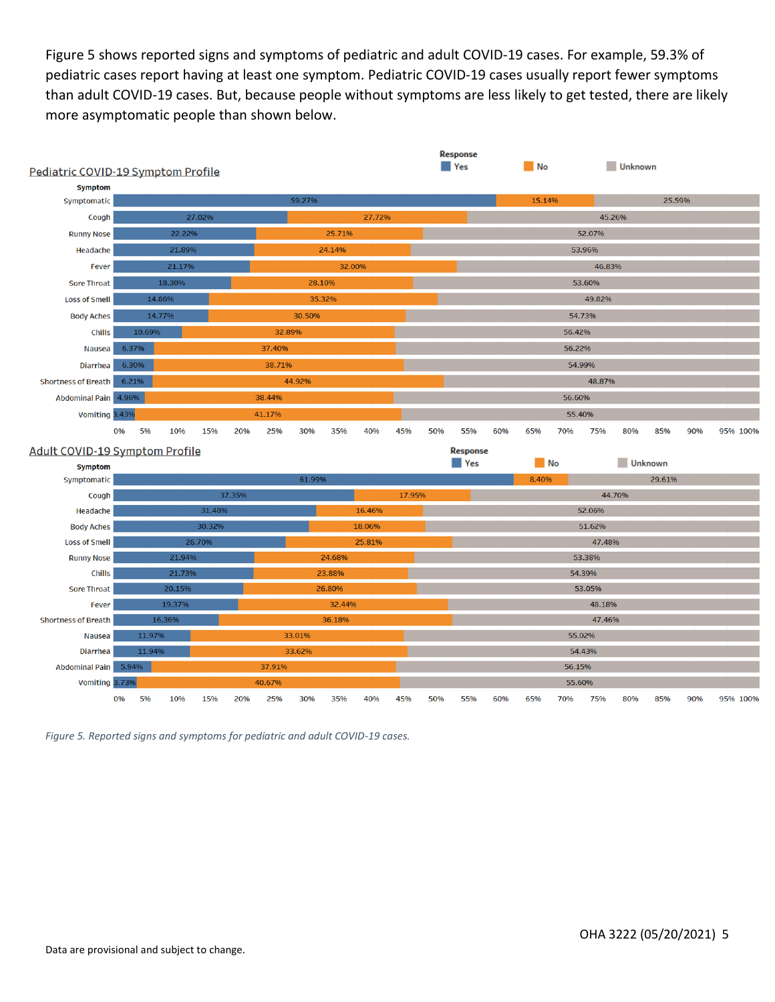Figure 5 shows reported signs and symptoms of pediatric and adult COVID-19 cases. For example, 59.3% of pediatric cases report having at least one symptom. Pediatric COVID-19 cases usually report fewer symptoms than adult COVID-19 cases. But, because people without symptoms are less likely to get tested, there are likely more asymptomatic people than shown below.



*Figure 5. Reported signs and symptoms for pediatric and adult COVID-19 cases.*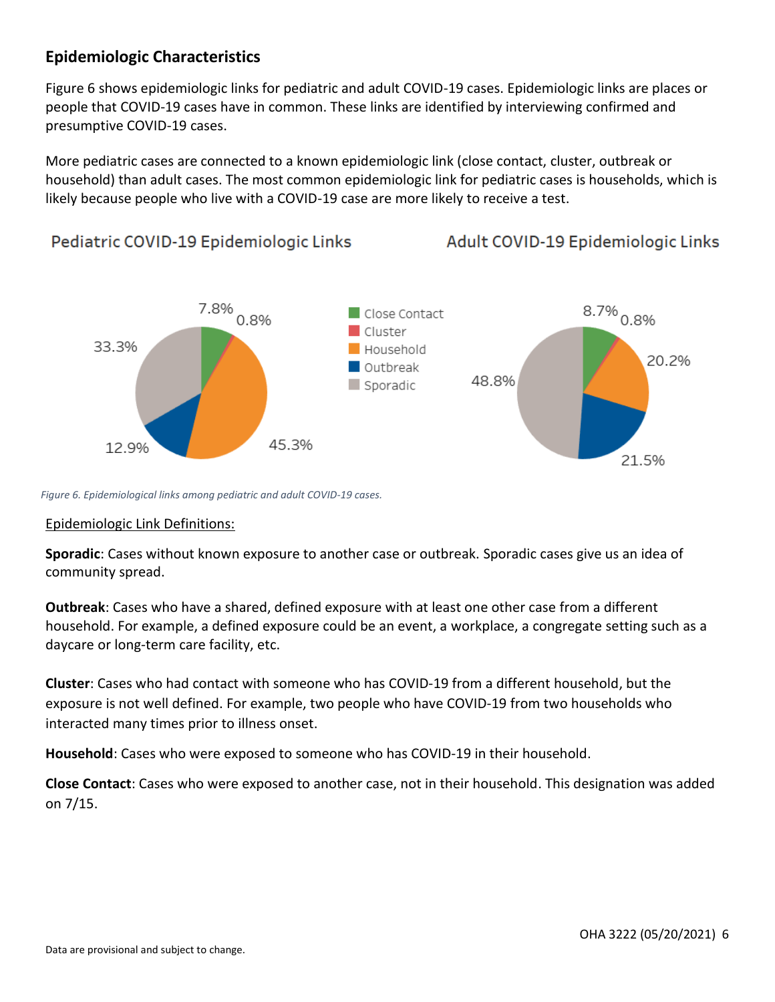# **Epidemiologic Characteristics**

Figure 6 shows epidemiologic links for pediatric and adult COVID-19 cases. Epidemiologic links are places or people that COVID-19 cases have in common. These links are identified by interviewing confirmed and presumptive COVID-19 cases.

More pediatric cases are connected to a known epidemiologic link (close contact, cluster, outbreak or household) than adult cases. The most common epidemiologic link for pediatric cases is households, which is likely because people who live with a COVID-19 case are more likely to receive a test.

Pediatric COVID-19 Epidemiologic Links Adult COVID-19 Epidemiologic Links  $7.8\%$  0.8%  $8.7\%$  0.8% Close Contact Cluster 33.3% Household 20.2% Outbreak 48.8% Sporadic 45.3% 12.9% 21.5%

*Figure 6. Epidemiological links among pediatric and adult COVID-19 cases.*

### Epidemiologic Link Definitions:

**Sporadic**: Cases without known exposure to another case or outbreak. Sporadic cases give us an idea of community spread.

**Outbreak**: Cases who have a shared, defined exposure with at least one other case from a different household. For example, a defined exposure could be an event, a workplace, a congregate setting such as a daycare or long-term care facility, etc.

**Cluster**: Cases who had contact with someone who has COVID-19 from a different household, but the exposure is not well defined. For example, two people who have COVID-19 from two households who interacted many times prior to illness onset.

**Household**: Cases who were exposed to someone who has COVID-19 in their household.

**Close Contact**: Cases who were exposed to another case, not in their household. This designation was added on 7/15.